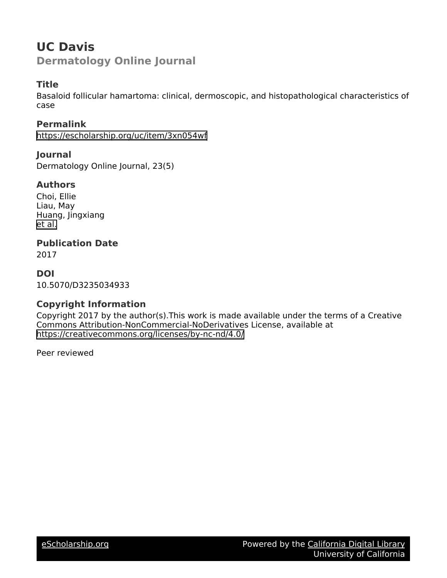## **UC Davis Dermatology Online Journal**

## **Title**

Basaloid follicular hamartoma: clinical, dermoscopic, and histopathological characteristics of case

### **Permalink**

<https://escholarship.org/uc/item/3xn054wf>

**Journal** Dermatology Online Journal, 23(5)

## **Authors**

Choi, Ellie Liau, May Huang, Jingxiang [et al.](https://escholarship.org/uc/item/3xn054wf#author)

## **Publication Date**

2017

## **DOI**

10.5070/D3235034933

## **Copyright Information**

Copyright 2017 by the author(s).This work is made available under the terms of a Creative Commons Attribution-NonCommercial-NoDerivatives License, available at <https://creativecommons.org/licenses/by-nc-nd/4.0/>

Peer reviewed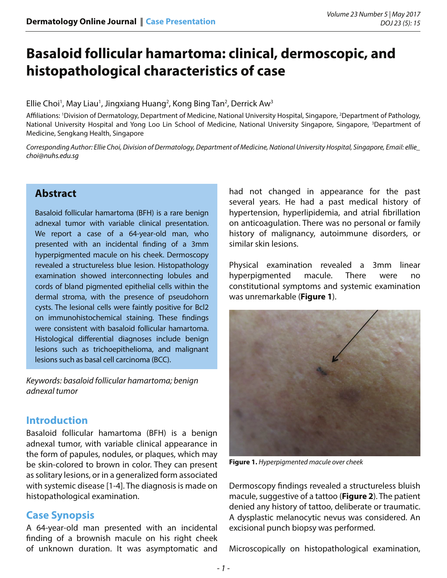# **Basaloid follicular hamartoma: clinical, dermoscopic, and histopathological characteristics of case**

#### Ellie Choi<sup>1</sup>, May Liau<sup>1</sup>, Jingxiang Huang<sup>2</sup>, Kong Bing Tan<sup>2</sup>, Derrick Aw<sup>3</sup>

Affiliations: 'Division of Dermatology, Department of Medicine, National University Hospital, Singapore, <sup>2</sup>Department of Pathology, National University Hospital and Yong Loo Lin School of Medicine, National University Singapore, Singapore, <sup>3</sup>Department of Medicine, Sengkang Health, Singapore

*Corresponding Author: Ellie Choi, Division of Dermatology, Department of Medicine, National University Hospital, Singapore, Email: ellie\_ choi@nuhs.edu.sg*

## **Abstract**

Basaloid follicular hamartoma (BFH) is a rare benign adnexal tumor with variable clinical presentation. We report a case of a 64-year-old man, who presented with an incidental finding of a 3mm hyperpigmented macule on his cheek. Dermoscopy revealed a structureless blue lesion. Histopathology examination showed interconnecting lobules and cords of bland pigmented epithelial cells within the dermal stroma, with the presence of pseudohorn cysts. The lesional cells were faintly positive for Bcl2 on immunohistochemical staining. These findings were consistent with basaloid follicular hamartoma. Histological differential diagnoses include benign lesions such as trichoepithelioma, and malignant lesions such as basal cell carcinoma (BCC).

*Keywords: basaloid follicular hamartoma; benign adnexal tumor*

## **Introduction**

Basaloid follicular hamartoma (BFH) is a benign adnexal tumor, with variable clinical appearance in the form of papules, nodules, or plaques, which may be skin-colored to brown in color. They can present as solitary lesions, or in a generalized form associated with systemic disease [1-4]. The diagnosis is made on histopathological examination.

## **Case Synopsis**

A 64-year-old man presented with an incidental finding of a brownish macule on his right cheek of unknown duration. It was asymptomatic and

had not changed in appearance for the past several years. He had a past medical history of hypertension, hyperlipidemia, and atrial fibrillation on anticoagulation. There was no personal or family history of malignancy, autoimmune disorders, or similar skin lesions.

Physical examination revealed a 3mm linear hyperpigmented macule. There were no constitutional symptoms and systemic examination was unremarkable (**Figure 1**).



**Figure 1.** *Hyperpigmented macule over cheek*

Dermoscopy findings revealed a structureless bluish macule, suggestive of a tattoo (**Figure 2**). The patient denied any history of tattoo, deliberate or traumatic. A dysplastic melanocytic nevus was considered. An excisional punch biopsy was performed.

Microscopically on histopathological examination,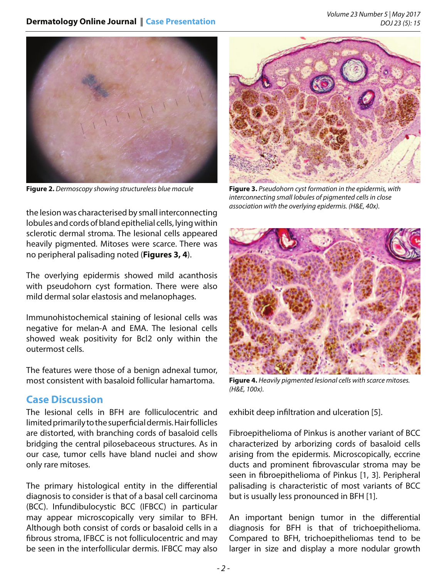

**Figure 2.** *Dermoscopy showing structureless blue macule* **Figure 3.** *Pseudohorn cyst formation in the epidermis, with* 



*interconnecting small lobules of pigmented cells in close association with the overlying epidermis. (H&E, 40x).*

the lesion was characterised by small interconnecting lobules and cords of bland epithelial cells, lying within sclerotic dermal stroma. The lesional cells appeared heavily pigmented. Mitoses were scarce. There was no peripheral palisading noted (**Figures 3, 4**).

The overlying epidermis showed mild acanthosis with pseudohorn cyst formation. There were also mild dermal solar elastosis and melanophages.

Immunohistochemical staining of lesional cells was negative for melan-A and EMA. The lesional cells showed weak positivity for Bcl2 only within the outermost cells.

The features were those of a benign adnexal tumor, most consistent with basaloid follicular hamartoma.

## **Case Discussion**

The lesional cells in BFH are folliculocentric and limited primarily to the superficial dermis. Hair follicles are distorted, with branching cords of basaloid cells bridging the central pilosebaceous structures. As in our case, tumor cells have bland nuclei and show only rare mitoses.

The primary histological entity in the differential diagnosis to consider is that of a basal cell carcinoma (BCC). Infundibulocystic BCC (IFBCC) in particular may appear microscopically very similar to BFH. Although both consist of cords or basaloid cells in a fibrous stroma, IFBCC is not folliculocentric and may be seen in the interfollicular dermis. IFBCC may also



**Figure 4.** *Heavily pigmented lesional cells with scarce mitoses. (H&E, 100x).*

exhibit deep infiltration and ulceration [5].

Fibroepithelioma of Pinkus is another variant of BCC characterized by arborizing cords of basaloid cells arising from the epidermis. Microscopically, eccrine ducts and prominent fibrovascular stroma may be seen in fibroepithelioma of Pinkus [1, 3]. Peripheral palisading is characteristic of most variants of BCC but is usually less pronounced in BFH [1].

An important benign tumor in the differential diagnosis for BFH is that of trichoepithelioma. Compared to BFH, trichoepitheliomas tend to be larger in size and display a more nodular growth